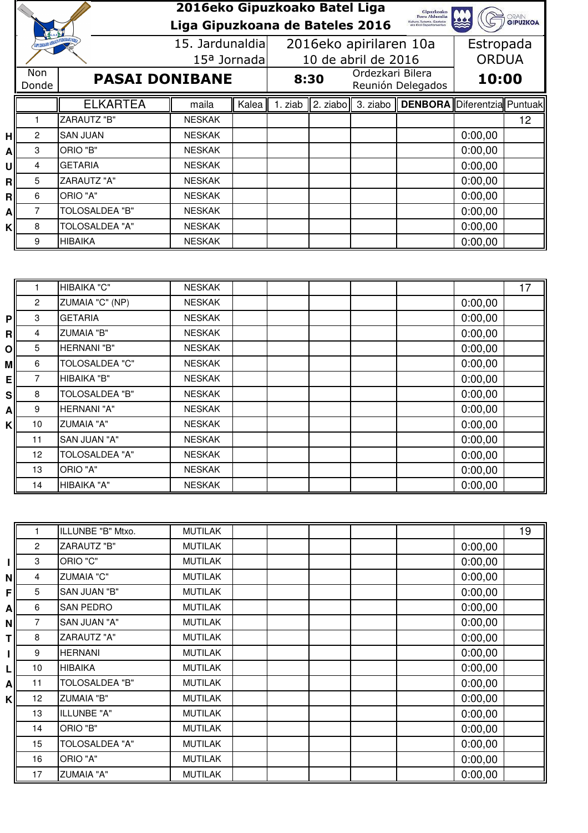|    |                                        |                       | 2016eko Gipuzkoako Batel Liga<br>Liga Gipuzkoana de Bateles 2016 |       |                        |                                       |                                  | Gipuzkoako<br>Foru Aldundia<br>Kultura, Turismo, Gazteria<br>eta Kitol Departamentua |              | <b>GRAIN</b><br><b>GIPUZKOA</b> |
|----|----------------------------------------|-----------------------|------------------------------------------------------------------|-------|------------------------|---------------------------------------|----------------------------------|--------------------------------------------------------------------------------------|--------------|---------------------------------|
|    | <b>GIFUZKOAKO ARRAIN FEDERAKUNDEA</b>  |                       | 15. Jardunaldial<br>15 <sup>a</sup> Jornada                      |       | 2016eko apirilaren 10a |                                       |                                  |                                                                                      | Estropada    |                                 |
|    |                                        |                       |                                                                  |       | 10 de abril de 2016    |                                       |                                  |                                                                                      | <b>ORDUA</b> |                                 |
|    | Non.<br><b>PASAI DONIBANE</b><br>Donde |                       |                                                                  | 8:30  |                        | Ordezkari Bilera<br>Reunión Delegados |                                  | 10:00                                                                                |              |                                 |
|    |                                        | <b>ELKARTEA</b>       | maila                                                            | Kalea | 1. ziab                |                                       | $\ $ 2. ziabo $\ $ 3. ziabo $\ $ | <b>DENBORA</b> Diferentzia Puntuak                                                   |              |                                 |
|    |                                        | <b>ZARAUTZ "B"</b>    | <b>NESKAK</b>                                                    |       |                        |                                       |                                  |                                                                                      |              | 12                              |
| нl | 2                                      | <b>SAN JUAN</b>       | <b>NESKAK</b>                                                    |       |                        |                                       |                                  |                                                                                      | 0:00,00      |                                 |
| A  | 3                                      | ORIO "B"              | <b>NESKAK</b>                                                    |       |                        |                                       |                                  |                                                                                      | 0:00,00      |                                 |
| υl | 4                                      | <b>GETARIA</b>        | <b>NESKAK</b>                                                    |       |                        |                                       |                                  |                                                                                      | 0:00,00      |                                 |
| R  | 5                                      | <b>ZARAUTZ "A"</b>    | <b>NESKAK</b>                                                    |       |                        |                                       |                                  |                                                                                      | 0:00,00      |                                 |
| Rl | 6                                      | ORIO "A"              | <b>NESKAK</b>                                                    |       |                        |                                       |                                  |                                                                                      | 0:00,00      |                                 |
| A  | 7                                      | TOLOSALDEA "B"        | <b>NESKAK</b>                                                    |       |                        |                                       |                                  |                                                                                      | 0:00,00      |                                 |
| κI | 8                                      | <b>TOLOSALDEA "A"</b> | <b>NESKAK</b>                                                    |       |                        |                                       |                                  |                                                                                      | 0:00,00      |                                 |
|    | 9                                      | HIBAIKA               | <b>NESKAK</b>                                                    |       |                        |                                       |                                  |                                                                                      | 0:00,00      |                                 |

|                |                 | HIBAIKA "C"           | <b>NESKAK</b> |  |  |         | 17 |
|----------------|-----------------|-----------------------|---------------|--|--|---------|----|
|                | $\overline{2}$  | ZUMAIA "C" (NP)       | <b>NESKAK</b> |  |  | 0:00,00 |    |
| PI             | 3               | <b>GETARIA</b>        | <b>NESKAK</b> |  |  | 0:00,00 |    |
| R              | 4               | <b>ZUMAIA "B"</b>     | <b>NESKAK</b> |  |  | 0:00,00 |    |
| $\overline{O}$ | 5               | <b>HERNANI "B"</b>    | <b>NESKAK</b> |  |  | 0:00,00 |    |
| мl             | 6               | <b>TOLOSALDEA "C"</b> | <b>NESKAK</b> |  |  | 0:00,00 |    |
| ΕI             | 7               | HIBAIKA "B"           | <b>NESKAK</b> |  |  | 0:00,00 |    |
| <b>S</b>       | 8               | <b>TOLOSALDEA "B"</b> | <b>NESKAK</b> |  |  | 0:00,00 |    |
| Αl             | 9               | <b>HERNANI "A"</b>    | <b>NESKAK</b> |  |  | 0:00,00 |    |
| K              | 10              | <b>ZUMAIA "A"</b>     | <b>NESKAK</b> |  |  | 0:00,00 |    |
|                | 11              | SAN JUAN "A"          | <b>NESKAK</b> |  |  | 0:00,00 |    |
|                | 12 <sup>2</sup> | <b>TOLOSALDEA "A"</b> | <b>NESKAK</b> |  |  | 0:00,00 |    |
|                | 13              | ORIO "A"              | <b>NESKAK</b> |  |  | 0:00,00 |    |
|                | 14              | HIBAIKA "A"           | <b>NESKAK</b> |  |  | 0:00,00 |    |

|    |                 | ILLUNBE "B" Mtxo.     | <b>MUTILAK</b> |  |  |         | 19 |
|----|-----------------|-----------------------|----------------|--|--|---------|----|
|    | $\overline{2}$  | <b>ZARAUTZ "B"</b>    | <b>MUTILAK</b> |  |  | 0:00,00 |    |
|    | 3               | ORIO "C"              | <b>MUTILAK</b> |  |  | 0:00,00 |    |
| Νl | 4               | <b>ZUMAIA "C"</b>     | <b>MUTILAK</b> |  |  | 0:00,00 |    |
| FI | 5               | SAN JUAN "B"          | <b>MUTILAK</b> |  |  | 0:00,00 |    |
| Αl | 6               | <b>SAN PEDRO</b>      | <b>MUTILAK</b> |  |  | 0:00,00 |    |
| Νl | 7               | SAN JUAN "A"          | <b>MUTILAK</b> |  |  | 0:00,00 |    |
| Τl | 8               | <b>ZARAUTZ "A"</b>    | <b>MUTILAK</b> |  |  | 0:00,00 |    |
|    | 9               | <b>HERNANI</b>        | <b>MUTILAK</b> |  |  | 0:00,00 |    |
| L  | 10              | <b>HIBAIKA</b>        | <b>MUTILAK</b> |  |  | 0:00,00 |    |
| Αl | 11              | TOLOSALDEA "B"        | <b>MUTILAK</b> |  |  | 0:00,00 |    |
| κI | 12 <sub>2</sub> | <b>ZUMAIA "B"</b>     | <b>MUTILAK</b> |  |  | 0:00,00 |    |
|    | 13              | ILLUNBE "A"           | <b>MUTILAK</b> |  |  | 0:00,00 |    |
|    | 14              | ORIO "B"              | <b>MUTILAK</b> |  |  | 0:00,00 |    |
|    | 15              | <b>TOLOSALDEA "A"</b> | <b>MUTILAK</b> |  |  | 0:00,00 |    |
|    | 16              | ORIO "A"              | <b>MUTILAK</b> |  |  | 0:00,00 |    |
|    | 17              | <b>ZUMAIA "A"</b>     | <b>MUTILAK</b> |  |  | 0:00,00 |    |